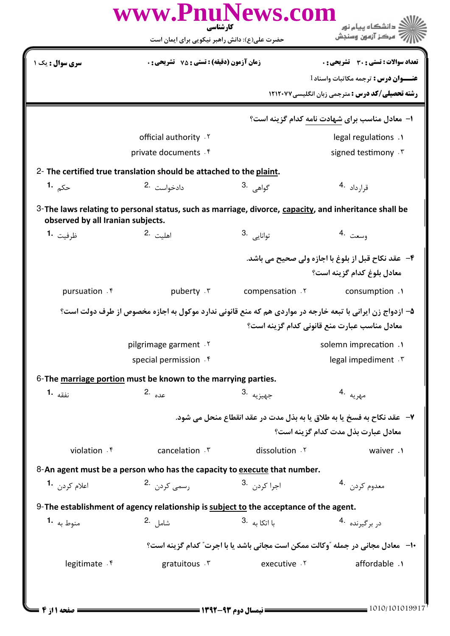|                                   | حضرت علی(ع): دانش راهبر نیکویی برای ایمان است                                                            |                                                                                  | ُ مرڪز آزمون وسنڊش                                                               |
|-----------------------------------|----------------------------------------------------------------------------------------------------------|----------------------------------------------------------------------------------|----------------------------------------------------------------------------------|
| <b>سری سوال :</b> یک ۱            | <b>زمان آزمون (دقیقه) : تستی : 75 ٪ تشریحی : 0</b>                                                       |                                                                                  | <b>تعداد سوالات : تستي : 30 ٪ تشريحي : 0</b>                                     |
|                                   |                                                                                                          |                                                                                  | <b>عنـــوان درس :</b> ترجمه مكاتبات واسناد 1                                     |
|                                   |                                                                                                          |                                                                                  | <b>رشته تحصیلی/کد درس :</b> مترجمی زبان انگلیسی۷۷۲۱۲۰۷۷                          |
|                                   |                                                                                                          |                                                                                  | ۱– معادل مناسب برای شهادت نامه کدام گزینه است؟                                   |
|                                   | official authority . Y                                                                                   |                                                                                  | legal regulations .                                                              |
|                                   | private documents f                                                                                      |                                                                                  | signed testimony . \v                                                            |
|                                   | 2- The certified true translation should be attached to the plaint.                                      |                                                                                  |                                                                                  |
| حک <sub>ہ</sub> 1۰                | دادخواست 2.                                                                                              | گواهي <sup>.3</sup>                                                              | قرارداد <sup>4.</sup>                                                            |
| observed by all Iranian subjects. | 3-The laws relating to personal status, such as marriage, divorce, capacity, and inheritance shall be    |                                                                                  |                                                                                  |
| ظرفيت <b>1.</b>                   | اهلىت .2                                                                                                 | توانايى .3                                                                       | وسعت ق4                                                                          |
|                                   |                                                                                                          |                                                                                  | ۴- عقد نکاح قبل از بلوغ با اجازه ولی صحیح می باشد.<br>معادل بلوغ كدام گزينه است؟ |
| pursuation . f                    | puberty .r                                                                                               | compensation .Y                                                                  | consumption .                                                                    |
|                                   | ۵– ازدواج زن ایرانی با تبعه خارجه در مواردی هم که منع قانونی ندارد موکول به اجازه مخصوص از طرف دولت است؟ |                                                                                  |                                                                                  |
|                                   |                                                                                                          |                                                                                  | معادل مناسب عبارت منع قانونی کدام گزینه است؟                                     |
|                                   | pilgrimage garment . Y                                                                                   |                                                                                  | solemn imprecation .1                                                            |
|                                   | special permission . f                                                                                   |                                                                                  | legal impediment . \v                                                            |
|                                   | 6-The marriage portion must be known to the marrying parties.                                            |                                                                                  |                                                                                  |
| نفقه <b>-1</b>                    | عده .2                                                                                                   | ج <sub>هيزيه</sub> .3                                                            | مهريه .4                                                                         |
|                                   |                                                                                                          | ٧- عقد نكاح به فسخ يا به طلاق يا به بذل مدت در عقد انقطاع منحل مي شود.           | معادل عبارت بذل مدت كدام گزينه است؟                                              |
| violation f                       | cancelation . ٣                                                                                          | dissolution .Y                                                                   | waiver .1                                                                        |
|                                   |                                                                                                          |                                                                                  |                                                                                  |
| اعلام کردن <b>1</b> ۰             | 8-An agent must be a person who has the capacity to execute that number.<br>رسمی کردن <sup>2</sup> ۰     | اجرا کرد <sub>ن</sub> <sup>.3</sup>                                              | معدوم كردن 4.                                                                    |
|                                   | 9-The establishment of agency relationship is subject to the acceptance of the agent.                    |                                                                                  |                                                                                  |
| <b>1.</b> منوط به                 | شامل .2                                                                                                  | با اتکا به <sup>3</sup> ۰                                                        | در برگیرنده <sup>4</sup> ۰                                                       |
|                                   |                                                                                                          | ∙ا−   معادل مجانی در جمله ″وکالت ممکن است مجانی باشد یا با اجرت″ کدام گزینه است؟ |                                                                                  |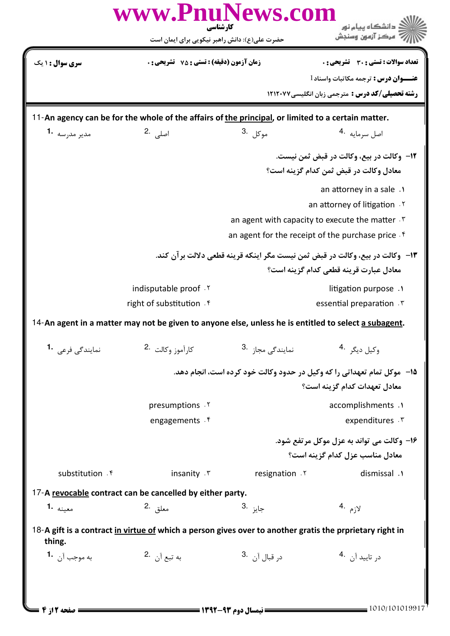| <b>سری سوال :</b> ۱ یک<br>11-An agency can be for the whole of the affairs of the principal, or limited to a certain matter.<br>مدير مدرسه 1.<br>14-An agent in a matter may not be given to anyone else, unless he is entitled to select a subagent. | حضرت علی(ع): دانش راهبر نیکویی برای ایمان است<br><b>زمان آزمون (دقیقه) : تستی : 75 تشریحی : 0</b><br>اصل <sub>ی،</sub> .2<br>indisputable proof . Y<br>right of substitution . f | موكل .3                                 | مركز آزمون وسنجش<br>تعداد سوالات : تستى : 30 - تشريحي : 0<br><b>عنـــوان درس :</b> ترجمه مكاتبات واسناد 1<br><b>رشته تحصیلی/کد درس :</b> مترجمی زبان انگلیسی ۱۲۱۲۰۷۷<br>اصل سرمايه <sup>4</sup> ۰<br>12- وكالت در بيع، وكالت در قبض ثمن نيست.<br>معادل وكالت در قبض ثمن كدام گزينه است؟<br>an attorney in a sale .<br>an attorney of litigation . Y<br>an agent with capacity to execute the matter .<br>an agent for the receipt of the purchase price.<br>۱۳- وكالت در بيع، وكالت در قبض ثمن نيست مگر اينكه قرينه قطعي دلالت برآن كند.<br>معادل عبارت قرينه قطعي كدام گزينه است؟<br>litigation purpose .<br>essential preparation . T |
|-------------------------------------------------------------------------------------------------------------------------------------------------------------------------------------------------------------------------------------------------------|----------------------------------------------------------------------------------------------------------------------------------------------------------------------------------|-----------------------------------------|-----------------------------------------------------------------------------------------------------------------------------------------------------------------------------------------------------------------------------------------------------------------------------------------------------------------------------------------------------------------------------------------------------------------------------------------------------------------------------------------------------------------------------------------------------------------------------------------------------------------------------------------|
|                                                                                                                                                                                                                                                       |                                                                                                                                                                                  |                                         |                                                                                                                                                                                                                                                                                                                                                                                                                                                                                                                                                                                                                                         |
|                                                                                                                                                                                                                                                       |                                                                                                                                                                                  |                                         |                                                                                                                                                                                                                                                                                                                                                                                                                                                                                                                                                                                                                                         |
|                                                                                                                                                                                                                                                       |                                                                                                                                                                                  |                                         |                                                                                                                                                                                                                                                                                                                                                                                                                                                                                                                                                                                                                                         |
|                                                                                                                                                                                                                                                       |                                                                                                                                                                                  |                                         |                                                                                                                                                                                                                                                                                                                                                                                                                                                                                                                                                                                                                                         |
|                                                                                                                                                                                                                                                       |                                                                                                                                                                                  |                                         |                                                                                                                                                                                                                                                                                                                                                                                                                                                                                                                                                                                                                                         |
|                                                                                                                                                                                                                                                       |                                                                                                                                                                                  |                                         |                                                                                                                                                                                                                                                                                                                                                                                                                                                                                                                                                                                                                                         |
|                                                                                                                                                                                                                                                       |                                                                                                                                                                                  |                                         |                                                                                                                                                                                                                                                                                                                                                                                                                                                                                                                                                                                                                                         |
|                                                                                                                                                                                                                                                       |                                                                                                                                                                                  |                                         |                                                                                                                                                                                                                                                                                                                                                                                                                                                                                                                                                                                                                                         |
|                                                                                                                                                                                                                                                       |                                                                                                                                                                                  |                                         |                                                                                                                                                                                                                                                                                                                                                                                                                                                                                                                                                                                                                                         |
|                                                                                                                                                                                                                                                       |                                                                                                                                                                                  |                                         |                                                                                                                                                                                                                                                                                                                                                                                                                                                                                                                                                                                                                                         |
|                                                                                                                                                                                                                                                       |                                                                                                                                                                                  |                                         |                                                                                                                                                                                                                                                                                                                                                                                                                                                                                                                                                                                                                                         |
|                                                                                                                                                                                                                                                       |                                                                                                                                                                                  |                                         |                                                                                                                                                                                                                                                                                                                                                                                                                                                                                                                                                                                                                                         |
|                                                                                                                                                                                                                                                       |                                                                                                                                                                                  |                                         |                                                                                                                                                                                                                                                                                                                                                                                                                                                                                                                                                                                                                                         |
|                                                                                                                                                                                                                                                       |                                                                                                                                                                                  |                                         |                                                                                                                                                                                                                                                                                                                                                                                                                                                                                                                                                                                                                                         |
|                                                                                                                                                                                                                                                       |                                                                                                                                                                                  |                                         |                                                                                                                                                                                                                                                                                                                                                                                                                                                                                                                                                                                                                                         |
|                                                                                                                                                                                                                                                       |                                                                                                                                                                                  |                                         |                                                                                                                                                                                                                                                                                                                                                                                                                                                                                                                                                                                                                                         |
|                                                                                                                                                                                                                                                       | كارآموز وكالت <sup>.2</sup>                                                                                                                                                      | نمایندگ <sub>ی</sub> مجاز <sup>.3</sup> | وكيل ديگر <sup>.4</sup>                                                                                                                                                                                                                                                                                                                                                                                                                                                                                                                                                                                                                 |
|                                                                                                                                                                                                                                                       |                                                                                                                                                                                  |                                         | ۱۵– ً موکل تمام تعهداتی را که وکیل در حدود وکالت خود کرده است، انجام دهد.<br>معادل تعهدات كدام گزينه است؟                                                                                                                                                                                                                                                                                                                                                                                                                                                                                                                               |
|                                                                                                                                                                                                                                                       | presumptions .Y                                                                                                                                                                  |                                         | accomplishments .1                                                                                                                                                                                                                                                                                                                                                                                                                                                                                                                                                                                                                      |
|                                                                                                                                                                                                                                                       | engagements . f                                                                                                                                                                  |                                         | expenditures . \v                                                                                                                                                                                                                                                                                                                                                                                                                                                                                                                                                                                                                       |
|                                                                                                                                                                                                                                                       |                                                                                                                                                                                  |                                         | ۱۶- وکالت می تواند به عزل موکل مرتفع شود.                                                                                                                                                                                                                                                                                                                                                                                                                                                                                                                                                                                               |
|                                                                                                                                                                                                                                                       |                                                                                                                                                                                  |                                         | معادل مناسب عزل كدام گزينه است؟                                                                                                                                                                                                                                                                                                                                                                                                                                                                                                                                                                                                         |
| substitution f                                                                                                                                                                                                                                        | insanity . \v                                                                                                                                                                    | resignation .Y                          | dismissal .1                                                                                                                                                                                                                                                                                                                                                                                                                                                                                                                                                                                                                            |
| 17-A revocable contract can be cancelled by either party.                                                                                                                                                                                             |                                                                                                                                                                                  |                                         |                                                                                                                                                                                                                                                                                                                                                                                                                                                                                                                                                                                                                                         |
| معينه <b>1.</b>                                                                                                                                                                                                                                       | معلق .2                                                                                                                                                                          | جايز .3                                 | لازم .4                                                                                                                                                                                                                                                                                                                                                                                                                                                                                                                                                                                                                                 |
| 18-A gift is a contract in virtue of which a person gives over to another gratis the prprietary right in<br>thing.                                                                                                                                    |                                                                                                                                                                                  |                                         |                                                                                                                                                                                                                                                                                                                                                                                                                                                                                                                                                                                                                                         |
| به موجب آن <b>1</b> ۰                                                                                                                                                                                                                                 | به تبع آ <sub>ن</sub> 2.                                                                                                                                                         | د <sub>ر</sub> قبال آن <sup>.3</sup>    | در تاييد آن <sup>.4</sup>                                                                                                                                                                                                                                                                                                                                                                                                                                                                                                                                                                                                               |
|                                                                                                                                                                                                                                                       |                                                                                                                                                                                  |                                         |                                                                                                                                                                                                                                                                                                                                                                                                                                                                                                                                                                                                                                         |
|                                                                                                                                                                                                                                                       |                                                                                                                                                                                  |                                         |                                                                                                                                                                                                                                                                                                                                                                                                                                                                                                                                                                                                                                         |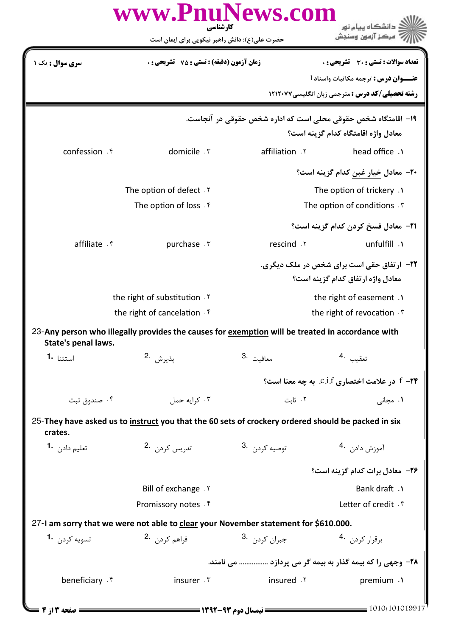|                                                                                                                         | www.PnuNews.com<br>کارشناسی                                                                        |                                                               | د دانشگاه پيام نور                                                                    |  |  |  |
|-------------------------------------------------------------------------------------------------------------------------|----------------------------------------------------------------------------------------------------|---------------------------------------------------------------|---------------------------------------------------------------------------------------|--|--|--|
|                                                                                                                         | حضرت علی(ع): دانش راهبر نیکویی برای ایمان است                                                      |                                                               | ' مرڪز آزمون وسنڊش                                                                    |  |  |  |
| سری سوال : یک ۱                                                                                                         | <b>زمان آزمون (دقیقه) : تستی : 75 تشریحی : 0</b>                                                   |                                                               | تعداد سوالات : تستى : 30 ٪ تشريحي : 0                                                 |  |  |  |
|                                                                                                                         |                                                                                                    |                                                               | <b>عنـــوان درس :</b> ترجمه مكاتبات واسناد 1                                          |  |  |  |
|                                                                                                                         |                                                                                                    |                                                               | <b>رشته تحصیلی/کد درس :</b> مترجمی زبان انگلیسی۷۷×۱۲۱۲                                |  |  |  |
|                                                                                                                         |                                                                                                    | ۱۹- اقامتگاه شخص حقوقی محلی است که اداره شخص حقوقی در آنجاست. |                                                                                       |  |  |  |
|                                                                                                                         |                                                                                                    |                                                               | معادل واژه اقامتگاه کدام گزینه است؟                                                   |  |  |  |
| confession . f                                                                                                          | domicile . ٣                                                                                       | affiliation . Y                                               | head office .                                                                         |  |  |  |
|                                                                                                                         |                                                                                                    |                                                               | ۲۰– معادل خیار غبن کدام گزینه است؟                                                    |  |  |  |
|                                                                                                                         | The option of defect . Y                                                                           |                                                               | The option of trickery .                                                              |  |  |  |
|                                                                                                                         | The option of loss f                                                                               |                                                               | The option of conditions . T                                                          |  |  |  |
|                                                                                                                         |                                                                                                    |                                                               | <b>٢١-</b> معادل فسخ كردن كدام گزينه است؟                                             |  |  |  |
| affiliate f                                                                                                             | purchase . ٣                                                                                       | rescind .Y                                                    | unfulfill .1                                                                          |  |  |  |
|                                                                                                                         |                                                                                                    |                                                               | <b>۲۲-</b> ارتفاق حقی است برای شخص در ملک دیگری.<br>معادل واژه ارتفاق کدام گزینه است؟ |  |  |  |
| the right of substitution Y                                                                                             |                                                                                                    |                                                               | the right of easement .                                                               |  |  |  |
| the right of cancelation. <sup>*</sup>                                                                                  |                                                                                                    |                                                               | the right of revocation . T                                                           |  |  |  |
| 23-Any person who illegally provides the causes for exemption will be treated in accordance with<br>State's penal laws. |                                                                                                    |                                                               |                                                                                       |  |  |  |
| 1. استثنا                                                                                                               | پذيرش 2.                                                                                           | 3. معافيت                                                     | تعقيب 4.                                                                              |  |  |  |
|                                                                                                                         |                                                                                                    |                                                               | در علامت اختصاری C.i.f. به چه معنا است؟ $f - \mathbf{Y}$                              |  |  |  |
| ۰۴ صندوق ثبت                                                                                                            | ۰۳ کرایه حمل                                                                                       | ٠٢ ثابت                                                       | ۰۱ مجانی                                                                              |  |  |  |
| crates.                                                                                                                 | 25-They have asked us to instruct you that the 60 sets of crockery ordered should be packed in six |                                                               |                                                                                       |  |  |  |
| تعليم دادن 1.                                                                                                           | تدريس كردن 2.                                                                                      | توصيه كردن 3.                                                 | آموزش دادن. 4                                                                         |  |  |  |
|                                                                                                                         |                                                                                                    |                                                               | ۲۶- معادل برات کدام گزینه است؟                                                        |  |  |  |
|                                                                                                                         | Bill of exchange . Y                                                                               |                                                               | <b>Bank draft</b> .1                                                                  |  |  |  |
|                                                                                                                         | Promissory notes . f                                                                               |                                                               | Letter of credit . \"                                                                 |  |  |  |
| 27-I am sorry that we were not able to clear your November statement for \$610.000.                                     |                                                                                                    |                                                               |                                                                                       |  |  |  |
| تسويه كردن 1.                                                                                                           | فراهم كردن 2.                                                                                      | جبران کرد <sub>ن</sub> 3.                                     | برقرار كردن 4.                                                                        |  |  |  |
|                                                                                                                         | ٢٨- وجهي را كه بيمه گذار به بيمه گر مي پردازد  مي نامند.                                           |                                                               |                                                                                       |  |  |  |
| beneficiary . f                                                                                                         | insurer .r                                                                                         | insured .Y                                                    | premium .1                                                                            |  |  |  |
| صفحه ۱۳: ۴ <del>س</del>                                                                                                 |                                                                                                    |                                                               | 1010/101019917                                                                        |  |  |  |